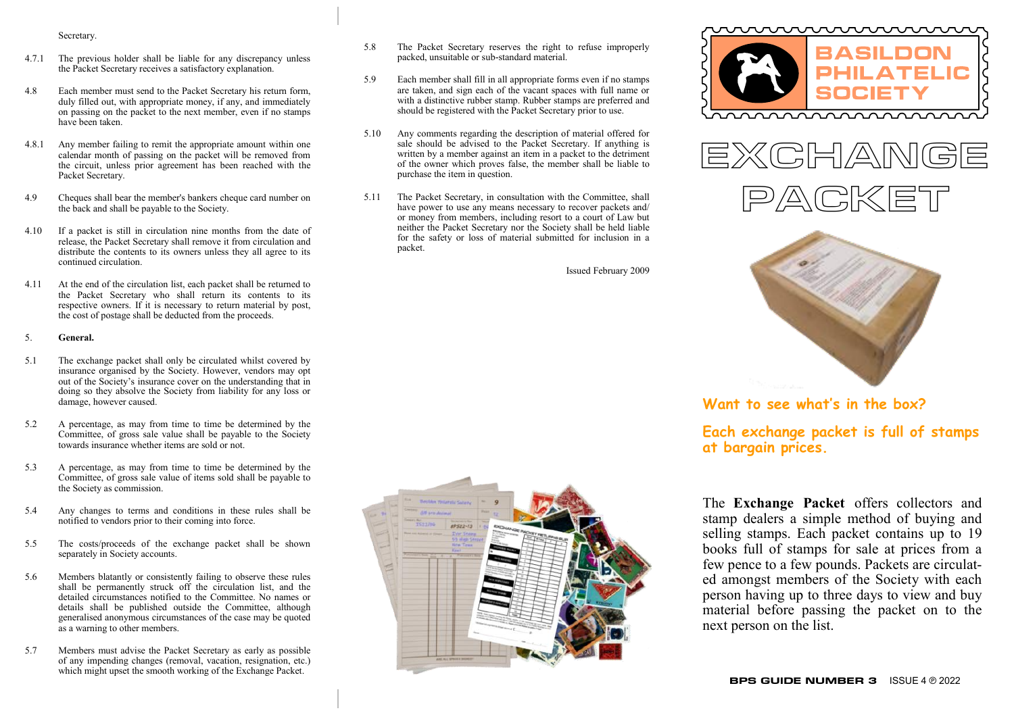#### Secretary.

- 4.7.1 The previous holder shall be liable for any discrepancy unless the Packet Secretary receives a satisfactory explanation.
- 4.8 Each member must send to the Packet Secretary his return form, duly filled out, with appropriate money, if any, and immediately on passing on the packet to the next member, even if no stamps have been taken.
- 4.8.1 Any member failing to remit the appropriate amount within one calendar month of passing on the packet will be removed from the circuit, unless prior agreement has been reached with the Packet Secretary.
- 4.9 Cheques shall bear the member's bankers cheque card number on the back and shall be payable to the Society.
- 4.10 If a packet is still in circulation nine months from the date of release, the Packet Secretary shall remove it from circulation and distribute the contents to its owners unless they all agree to its continued circulation.
- 4.11 At the end of the circulation list, each packet shall be returned to the Packet Secretary who shall return its contents to its respective owners. If it is necessary to return material by post, the cost of postage shall be deducted from the proceeds.

#### 5. **General.**

- 5.1 The exchange packet shall only be circulated whilst covered by insurance organised by the Society. However, vendors may opt out of the Society's insurance cover on the understanding that in doing so they absolve the Society from liability for any loss or damage, however caused.
- 5.2 A percentage, as may from time to time be determined by the Committee, of gross sale value shall be payable to the Society towards insurance whether items are sold or not.
- 5.3 A percentage, as may from time to time be determined by the Committee, of gross sale value of items sold shall be payable to the Society as commission.
- 5.4 Any changes to terms and conditions in these rules shall be notified to vendors prior to their coming into force.
- 5.5 The costs/proceeds of the exchange packet shall be shown separately in Society accounts.
- 5.6 Members blatantly or consistently failing to observe these rules shall be permanently struck off the circulation list, and the detailed circumstances notified to the Committee. No names or details shall be published outside the Committee, although generalised anonymous circumstances of the case may be quoted as a warning to other members.
- 5.7 Members must advise the Packet Secretary as early as possible of any impending changes (removal, vacation, resignation, etc.) which might upset the smooth working of the Exchange Packet.
- 5.8 The Packet Secretary reserves the right to refuse improperly packed, unsuitable or sub-standard material.
- 5.9 Each member shall fill in all appropriate forms even if no stamps are taken, and sign each of the vacant spaces with full name or with a distinctive rubber stamp. Rubber stamps are preferred and should be registered with the Packet Secretary prior to use.
- 5.10 Any comments regarding the description of material offered for sale should be advised to the Packet Secretary. If anything is written by a member against an item in a packet to the detriment of the owner which proves false, the member shall be liable to purchase the item in question.
- 5.11 The Packet Secretary, in consultation with the Committee, shall have power to use any means necessary to recover packets and/ or money from members, including resort to a court of Law but neither the Packet Secretary nor the Society shall be held liable for the safety or loss of material submitted for inclusion in a packet.

Issued February 2009











**Want to see what's in the box?**

# **Each exchange packet is full of stamps at bargain prices.**

The **Exchange Packet** offers collectors and stamp dealers a simple method of buying and selling stamps. Each packet contains up to 19 books full of stamps for sale at prices from a few pence to a few pounds. Packets are circulated amongst members of the Society with each person having up to three days to view and buy material before passing the packet on to the next person on the list.